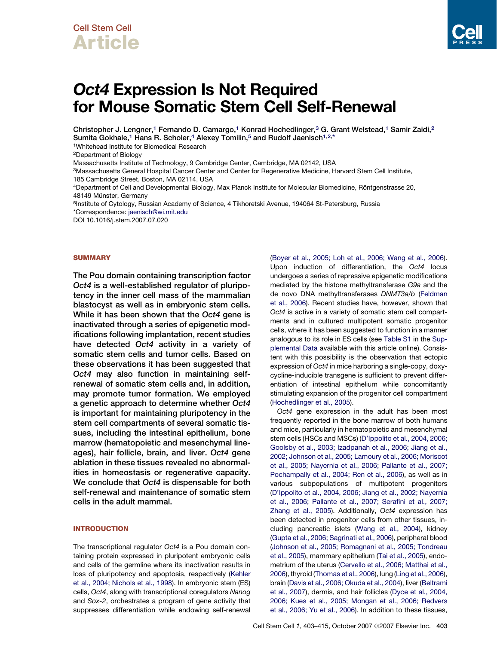## Cell Stem Cell Article

# Oct4 Expression Is Not Required for Mouse Somatic Stem Cell Self-Renewal

Christopher J. Lengner,<sup>1</sup> Fernando D. Camargo,<sup>1</sup> Konrad Hochedlinger,<sup>3</sup> G. Grant Welstead,<sup>1</sup> Samir Zaidi,<sup>2</sup> Sumita Gokhale,<sup>1</sup> Hans R. Scholer,<sup>4</sup> Alexey Tomilin,<sup>5</sup> and Rudolf Jaenisch<sup>1,2,\*</sup>

1Whitehead Institute for Biomedical Research

2Department of Biology

Massachusetts Institute of Technology, 9 Cambridge Center, Cambridge, MA 02142, USA

3Massachusetts General Hospital Cancer Center and Center for Regenerative Medicine, Harvard Stem Cell Institute, 185 Cambridge Street, Boston, MA 02114, USA

4Department of Cell and Developmental Biology, Max Planck Institute for Molecular Biomedicine, Röntgenstrasse 20, 48149 Münster, Germany

5Institute of Cytology, Russian Academy of Science, 4 Tikhoretski Avenue, 194064 St-Petersburg, Russia \*Correspondence: [jaenisch@wi.mit.edu](mailto:jaenisch@wi.mit.edu)

DOI 10.1016/j.stem.2007.07.020

#### **SUMMARY**

The Pou domain containing transcription factor Oct4 is a well-established regulator of pluripotency in the inner cell mass of the mammalian blastocyst as well as in embryonic stem cells. While it has been shown that the Oct4 gene is inactivated through a series of epigenetic modifications following implantation, recent studies have detected Oct4 activity in a variety of somatic stem cells and tumor cells. Based on these observations it has been suggested that Oct4 may also function in maintaining selfrenewal of somatic stem cells and, in addition, may promote tumor formation. We employed a genetic approach to determine whether Oct4 is important for maintaining pluripotency in the stem cell compartments of several somatic tissues, including the intestinal epithelium, bone marrow (hematopoietic and mesenchymal lineages), hair follicle, brain, and liver. Oct4 gene ablation in these tissues revealed no abnormalities in homeostasis or regenerative capacity. We conclude that Oct4 is dispensable for both self-renewal and maintenance of somatic stem cells in the adult mammal.

## INTRODUCTION

The transcriptional regulator *Oct4* is a Pou domain containing protein expressed in pluripotent embryonic cells and cells of the germline where its inactivation results in loss of pluripotency and apoptosis, respectively ([Kehler](#page-11-0) [et al., 2004; Nichols et al., 1998\)](#page-11-0). In embryonic stem (ES) cells, *Oct4*, along with transcriptional coregulators *Nanog* and *Sox-2*, orchestrates a program of gene activity that suppresses differentiation while endowing self-renewal [\(Boyer et al., 2005; Loh et al., 2006; Wang et al., 2006\)](#page-11-0). Upon induction of differentiation, the *Oct4* locus undergoes a series of repressive epigenetic modifications mediated by the histone methyltransferase *G9a* and the de novo DNA methyltransferases *DNMT3a/b* [\(Feldman](#page-11-0) [et al., 2006](#page-11-0)). Recent studies have, however, shown that *Oct4* is active in a variety of somatic stem cell compartments and in cultured multipotent somatic progenitor cells, where it has been suggested to function in a manner analogous to its role in ES cells (see [Table S1](#page-10-0) in the [Sup](#page-10-0)[plemental Data](#page-10-0) available with this article online). Consistent with this possibility is the observation that ectopic expression of *Oct4* in mice harboring a single-copy, doxycycline-inducible transgene is sufficient to prevent differentiation of intestinal epithelium while concomitantly stimulating expansion of the progenitor cell compartment [\(Hochedlinger et al., 2005\)](#page-11-0).

*Oct4* gene expression in the adult has been most frequently reported in the bone marrow of both humans and mice, particularly in hematopoietic and mesenchymal stem cells (HSCs and MSCs) ([D'Ippolito et al., 2004, 2006;](#page-11-0) [Goolsby et al., 2003; Izadpanah et al., 2006; Jiang et al.,](#page-11-0) [2002; Johnson et al., 2005; Lamoury et al., 2006; Moriscot](#page-11-0) [et al., 2005; Nayernia et al., 2006; Pallante et al., 2007;](#page-11-0) [Pochampally et al., 2004; Ren et al., 2006\)](#page-11-0), as well as in various subpopulations of multipotent progenitors [\(D'Ippolito et al., 2004, 2006; Jiang et al., 2002; Nayernia](#page-11-0) [et al., 2006; Pallante et al., 2007; Serafini et al., 2007;](#page-11-0) [Zhang et al., 2005](#page-11-0)). Additionally, *Oct4* expression has been detected in progenitor cells from other tissues, including pancreatic islets [\(Wang et al., 2004](#page-12-0)), kidney [\(Gupta et al., 2006; Sagrinati et al., 2006\)](#page-11-0), peripheral blood [\(Johnson et al., 2005; Romagnani et al., 2005; Tondreau](#page-11-0) [et al., 2005](#page-11-0)), mammary epithelium [\(Tai et al., 2005](#page-12-0)), endometrium of the uterus ([Cervello et al., 2006; Matthai et al.,](#page-11-0) [2006\)](#page-11-0), thyroid ([Thomas et al., 2006\)](#page-12-0), lung ([Ling et al., 2006\)](#page-12-0), brain [\(Davis et al., 2006; Okuda et al., 2004](#page-11-0)), liver ([Beltrami](#page-11-0) [et al., 2007\)](#page-11-0), dermis, and hair follicles ([Dyce et al., 2004,](#page-11-0) [2006; Kues et al., 2005; Mongan et al., 2006; Redvers](#page-11-0) [et al., 2006; Yu et al., 2006\)](#page-11-0). In addition to these tissues,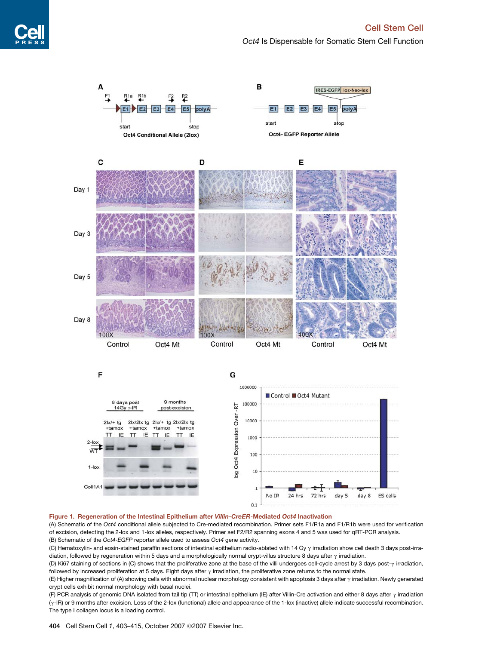*Oct4* Is Dispensable for Somatic Stem Cell Function

<span id="page-1-0"></span>

#### Figure 1. Regeneration of the Intestinal Epithelium after Villin-CreER-Mediated Oct4 Inactivation

(A) Schematic of the *Oct4* conditional allele subjected to Cre-mediated recombination. Primer sets F1/R1a and F1/R1b were used for verification of excision, detecting the 2-lox and 1-lox alleles, respectively. Primer set F2/R2 spanning exons 4 and 5 was used for qRT-PCR analysis. (B) Schematic of the *Oct4-EGFP* reporter allele used to assess *Oct4* gene activity.

(C) Hematoxylin- and eosin-stained paraffin sections of intestinal epithelium radio-ablated with 14 Gy  $\gamma$  irradiation show cell death 3 days post-irradiation, followed by regeneration within 5 days and a morphologically normal crypt-villus structure 8 days after  $\gamma$  irradiation.

(D) Ki67 staining of sections in (C) shows that the proliferative zone at the base of the villi undergoes cell-cycle arrest by 3 days post- $\gamma$  irradiation, followed by increased proliferation at 5 days. Eight days after  $\gamma$  irradiation, the proliferative zone returns to the normal state.

(E) Higher magnification of (A) showing cells with abnormal nuclear morphology consistent with apoptosis 3 days after  $\gamma$  irradiation. Newly generated crypt cells exhibit normal morphology with basal nuclei.

(F) PCR analysis of genomic DNA isolated from tail tip (TT) or intestinal epithelium (IE) after Villin-Cre activation and either 8 days after  $\gamma$  irradiation (g-IR) or 9 months after excision. Loss of the 2-lox (functional) allele and appearance of the 1-lox (inactive) allele indicate successful recombination. The type I collagen locus is a loading control.

404 Cell Stem Cell 1, 403-415, October 2007 © 2007 Elsevier Inc.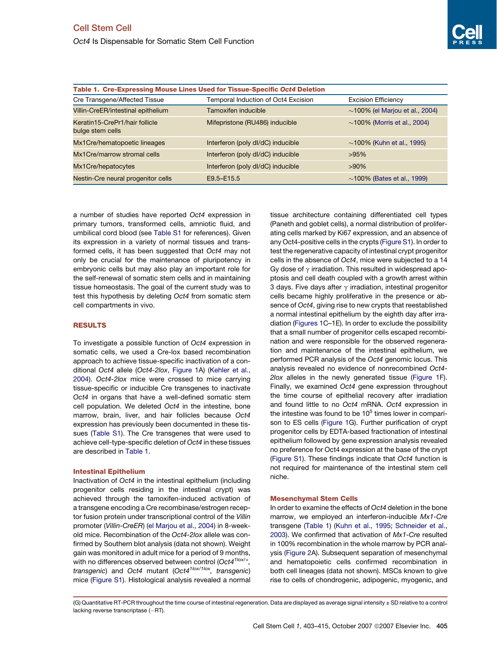<span id="page-2-0"></span>*Oct4* Is Dispensable for Somatic Stem Cell Function

| Table 1. Cre-Expressing Mouse Lines Used for Tissue-Specific Oct4 Deletion |                                     |                                      |
|----------------------------------------------------------------------------|-------------------------------------|--------------------------------------|
| Cre Transgene/Affected Tissue                                              | Temporal Induction of Oct4 Excision | <b>Excision Efficiency</b>           |
| Villin-CreER/intestinal epithelium                                         | Tamoxifen inducible                 | $\sim$ 100% (el Marjou et al., 2004) |
| Keratin15-CrePr1/hair follicle<br>bulge stem cells                         | Mifepristone (RU486) inducible      | $\sim$ 100% (Morris et al., 2004)    |
| Mx1Cre/hematopoetic lineages                                               | Interferon (poly dl/dC) inducible   | $\sim$ 100% (Kuhn et al., 1995)      |
| Mx1Cre/marrow stromal cells                                                | Interferon (poly dl/dC) inducible   | $>95\%$                              |
| Mx1Cre/hepatocytes                                                         | Interferon (poly dl/dC) inducible   | $>90\%$                              |
| Nestin-Cre neural progenitor cells                                         | E9.5-E15.5                          | $\sim$ 100% (Bates et al., 1999)     |

a number of studies have reported *Oct4* expression in primary tumors, transformed cells, amniotic fluid, and umbilical cord blood (see [Table S1](#page-10-0) for references). Given its expression in a variety of normal tissues and transformed cells, it has been suggested that *Oct4* may not only be crucial for the maintenance of pluripotency in embryonic cells but may also play an important role for the self-renewal of somatic stem cells and in maintaining tissue homeostasis. The goal of the current study was to test this hypothesis by deleting *Oct4* from somatic stem cell compartments in vivo.

## RESULTS

To investigate a possible function of *Oct4* expression in somatic cells, we used a Cre-lox based recombination approach to achieve tissue-specific inactivation of a conditional *Oct4* allele (*Oct4-2lox*, [Figure 1](#page-1-0)A) ([Kehler et al.,](#page-11-0) [2004\)](#page-11-0). *Oct4-2lox* mice were crossed to mice carrying tissue-specific or inducible Cre transgenes to inactivate *Oct4* in organs that have a well-defined somatic stem cell population. We deleted *Oct4* in the intestine, bone marrow, brain, liver, and hair follicles because *Oct4* expression has previously been documented in these tissues [\(Table S1\)](#page-10-0). The Cre transgenes that were used to achieve cell-type-specific deletion of *Oct4* in these tissues are described in Table 1.

#### Intestinal Epithelium

Inactivation of *Oct4* in the intestinal epithelium (including progenitor cells residing in the intestinal crypt) was achieved through the tamoxifen-induced activation of a transgene encoding a Cre recombinase/estrogen receptor fusion protein under transcriptional control of the *Villin* promoter (*Villin-CreER*) [\(el Marjou et al., 2004](#page-11-0)) in 8-weekold mice. Recombination of the *Oct4-2lox* allele was confirmed by Southern blot analysis (data not shown). Weight gain was monitored in adult mice for a period of 9 months, with no differences observed between control (*Oct41lox/+, transgenic*) and *Oct4* mutant (*Oct41lox/1lox, transgenic*) mice [\(Figure S1\)](#page-10-0). Histological analysis revealed a normal tissue architecture containing differentiated cell types (Paneth and goblet cells), a normal distribution of proliferating cells marked by Ki67 expression, and an absence of any Oct4-positive cells in the crypts ([Figure S1](#page-10-0)). In order to test the regenerative capacity of intestinal crypt progenitor cells in the absence of *Oct4*, mice were subjected to a 14 Gy dose of  $\gamma$  irradiation. This resulted in widespread apoptosis and cell death coupled with a growth arrest within 3 days. Five days after  $\gamma$  irradiation, intestinal progenitor cells became highly proliferative in the presence or absence of *Oct4*, giving rise to new crypts that reestablished a normal intestinal epithelium by the eighth day after irradiation ([Figures 1](#page-1-0)C–1E). In order to exclude the possibility that a small number of progenitor cells escaped recombination and were responsible for the observed regeneration and maintenance of the intestinal epithelium, we performed PCR analysis of the *Oct4* genomic locus. This analysis revealed no evidence of nonrecombined *Oct4*- *2lox* alleles in the newly generated tissue [\(Figure 1F](#page-1-0)). Finally, we examined *Oct4* gene expression throughout the time course of epithelial recovery after irradiation and found little to no *Oct4* mRNA. *Oct4* expression in the intestine was found to be  $10<sup>5</sup>$  times lower in comparison to ES cells [\(Figure 1G](#page-1-0)). Further purification of crypt progenitor cells by EDTA-based fractionation of intestinal epithelium followed by gene expression analysis revealed no preference for Oct4 expression at the base of the crypt [\(Figure S1\)](#page-10-0). These findings indicate that *Oct4* function is not required for maintenance of the intestinal stem cell niche.

## Mesenchymal Stem Cells

In order to examine the effects of *Oct4* deletion in the bone marrow, we employed an interferon-inducible *Mx1-Cre* transgene (Table 1) ([Kuhn et al., 1995; Schneider et al.,](#page-11-0) [2003\)](#page-11-0). We confirmed that activation of *Mx1-Cre* resulted in 100% recombination in the whole marrow by PCR analysis [\(Figure 2](#page-3-0)A). Subsequent separation of mesenchymal and hematopoietic cells confirmed recombination in both cell lineages (data not shown). MSCs known to give rise to cells of chondrogenic, adipogenic, myogenic, and

(G) Quantitative RT-PCR throughout the time course of intestinal regeneration. Data are displayed as average signal intensity ± SD relative to a control lacking reverse transcriptase (–RT).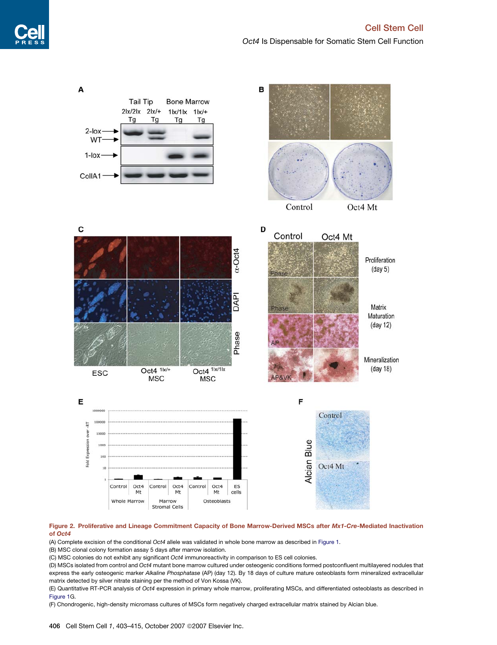<span id="page-3-0"></span>

## Figure 2. Proliferative and Lineage Commitment Capacity of Bone Marrow-Derived MSCs after Mx1-Cre-Mediated Inactivation of Oct4

(A) Complete excision of the conditional *Oct4* allele was validated in whole bone marrow as described in [Figure 1.](#page-1-0)

(B) MSC clonal colony formation assay 5 days after marrow isolation.

(C) MSC colonies do not exhibit any significant *Oct4* immunoreactivity in comparison to ES cell colonies.

(D) MSCs isolated from control and *Oct4* mutant bone marrow cultured under osteogenic conditions formed postconfluent multilayered nodules that express the early osteogenic marker *Alkaline Phosphatase* (AP) (day 12). By 18 days of culture mature osteoblasts form mineralized extracellular matrix detected by silver nitrate staining per the method of Von Kossa (VK).

(E) Quantitative RT-PCR analysis of *Oct4* expression in primary whole marrow, proliferating MSCs, and differentiated osteoblasts as described in [Figure 1](#page-1-0)G.

(F) Chondrogenic, high-density micromass cultures of MSCs form negatively charged extracellular matrix stained by Alcian blue.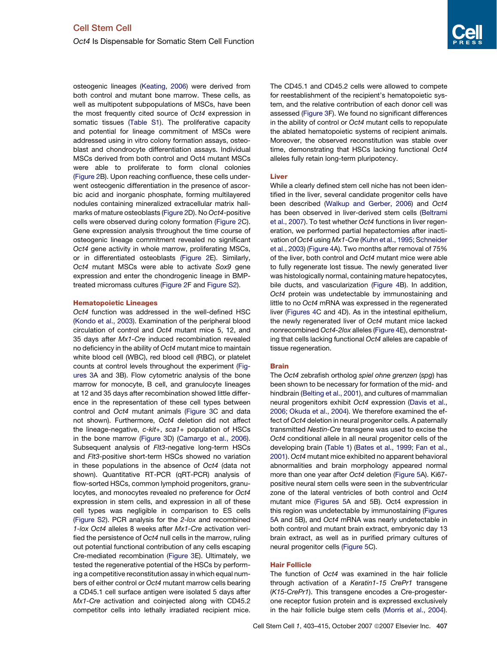osteogenic lineages [\(Keating, 2006](#page-11-0)) were derived from both control and mutant bone marrow. These cells, as well as multipotent subpopulations of MSCs, have been the most frequently cited source of *Oct4* expression in somatic tissues ([Table S1\)](#page-10-0). The proliferative capacity and potential for lineage commitment of MSCs were addressed using in vitro colony formation assays, osteoblast and chondrocyte differentiation assays. Individual MSCs derived from both control and Oct4 mutant MSCs were able to proliferate to form clonal colonies [\(Figure 2](#page-3-0)B). Upon reaching confluence, these cells underwent osteogenic differentiation in the presence of ascorbic acid and inorganic phosphate, forming multilayered nodules containing mineralized extracellular matrix hallmarks of mature osteoblasts ([Figure 2](#page-3-0)D). No *Oct4*-positive cells were observed during colony formation ([Figure 2](#page-3-0)C). Gene expression analysis throughout the time course of osteogenic lineage commitment revealed no significant *Oct4* gene activity in whole marrow, proliferating MSCs, or in differentiated osteoblasts ([Figure 2E](#page-3-0)). Similarly, *Oct4* mutant MSCs were able to activate *Sox9* gene expression and enter the chondrogenic lineage in BMPtreated micromass cultures ([Figure 2F](#page-3-0) and [Figure S2\)](#page-10-0).

## Hematopoietic Lineages

*Oct4* function was addressed in the well-defined HSC [\(Kondo et al., 2003](#page-11-0)). Examination of the peripheral blood circulation of control and *Oct4* mutant mice 5, 12, and 35 days after *Mx1-Cre* induced recombination revealed no deficiency in the ability of *Oct4* mutant mice to maintain white blood cell (WBC), red blood cell (RBC), or platelet counts at control levels throughout the experiment [\(Fig](#page-5-0)[ures 3A](#page-5-0) and 3B). Flow cytometric analysis of the bone marrow for monocyte, B cell, and granulocyte lineages at 12 and 35 days after recombination showed little difference in the representation of these cell types between control and *Oct4* mutant animals [\(Figure 3C](#page-5-0) and data not shown). Furthermore, *Oct4* deletion did not affect the lineage-negative, *c-kit*+, *sca1*+ population of HSCs in the bone marrow [\(Figure 3](#page-5-0)D) [\(Camargo et al., 2006\)](#page-11-0). Subsequent analysis of *Flt3*-negative long-term HSCs and *Flt3*-positive short-term HSCs showed no variation in these populations in the absence of *Oct4* (data not shown). Quantitative RT-PCR (qRT-PCR) analysis of flow-sorted HSCs, common lymphoid progenitors, granulocytes, and monocytes revealed no preference for *Oct4* expression in stem cells, and expression in all of these cell types was negligible in comparison to ES cells [\(Figure S2](#page-10-0)). PCR analysis for the *2-lox* and recombined *1-lox Oct4* alleles 8 weeks after *Mx1-Cre* activation verified the persistence of *Oct4* null cells in the marrow, ruling out potential functional contribution of any cells escaping Cre-mediated recombination ([Figure 3](#page-5-0)E). Ultimately, we tested the regenerative potential of the HSCs by performing a competitive reconstitution assay in which equal numbers of either control or *Oct4* mutant marrow cells bearing a CD45.1 cell surface antigen were isolated 5 days after *Mx1-Cre* activation and coinjected along with CD45.2 competitor cells into lethally irradiated recipient mice.

The CD45.1 and CD45.2 cells were allowed to compete for reestablishment of the recipient's hematopoietic system, and the relative contribution of each donor cell was assessed [\(Figure 3F](#page-5-0)). We found no significant differences in the ability of control or *Oct4* mutant cells to repopulate the ablated hematopoietic systems of recipient animals. Moreover, the observed reconstitution was stable over time, demonstrating that HSCs lacking functional *Oct4* alleles fully retain long-term pluripotency.

## Liver

While a clearly defined stem cell niche has not been identified in the liver, several candidate progenitor cells have been described ([Walkup and Gerber, 2006](#page-12-0)) and *Oct4* has been observed in liver-derived stem cells ([Beltrami](#page-11-0) [et al., 2007](#page-11-0)). To test whether *Oct4* functions in liver regeneration, we performed partial hepatectomies after inactivation of *Oct4* using *Mx1-Cre* ([Kuhn et al., 1995; Schneider](#page-11-0) [et al., 2003\)](#page-11-0) [\(Figure 4](#page-7-0)A). Two months after removal of 75% of the liver, both control and *Oct4* mutant mice were able to fully regenerate lost tissue. The newly generated liver was histologically normal, containing mature hepatocytes, bile ducts, and vascularization [\(Figure 4](#page-7-0)B). In addition, *Oct4* protein was undetectable by immunostaining and little to no *Oct4* mRNA was expressed in the regenerated liver ([Figures 4](#page-7-0)C and 4D). As in the intestinal epithelium, the newly regenerated liver of *Oct4* mutant mice lacked nonrecombined *Oct4-2lox* alleles [\(Figure 4](#page-7-0)E), demonstrating that cells lacking functional *Oct4* alleles are capable of tissue regeneration.

## Brain

The *Oct4* zebrafish ortholog *spiel ohne grenzen* (*spg*) has been shown to be necessary for formation of the mid- and hindbrain [\(Belting et al., 2001](#page-11-0)), and cultures of mammalian neural progenitors exhibit *Oct4* expression [\(Davis et al.,](#page-11-0) [2006; Okuda et al., 2004](#page-11-0)). We therefore examined the effect of *Oct4* deletion in neural progenitor cells. A paternally transmitted *Nestin-Cre* transgene was used to excise the *Oct4* conditional allele in all neural progenitor cells of the developing brain ([Table 1\)](#page-2-0) [\(Bates et al., 1999; Fan et al.,](#page-11-0) [2001\)](#page-11-0). *Oct4* mutant mice exhibited no apparent behavioral abnormalities and brain morphology appeared normal more than one year after *Oct4* deletion ([Figure 5A](#page-8-0)). Ki67 positive neural stem cells were seen in the subventricular zone of the lateral ventricles of both control and *Oct4* mutant mice ([Figures 5A](#page-8-0) and 5B). Oct4 expression in this region was undetectable by immunostaining [\(Figures](#page-8-0) [5A](#page-8-0) and 5B), and *Oct4* mRNA was nearly undetectable in both control and mutant brain extract, embryonic day 13 brain extract, as well as in purified primary cultures of neural progenitor cells ([Figure 5](#page-8-0)C).

## Hair Follicle

The function of *Oct4* was examined in the hair follicle through activation of a *Keratin1-15 CrePr1* transgene (*K15-CrePr1*). This transgene encodes a Cre-progesterone receptor fusion protein and is expressed exclusively in the hair follicle bulge stem cells [\(Morris et al., 2004\)](#page-12-0).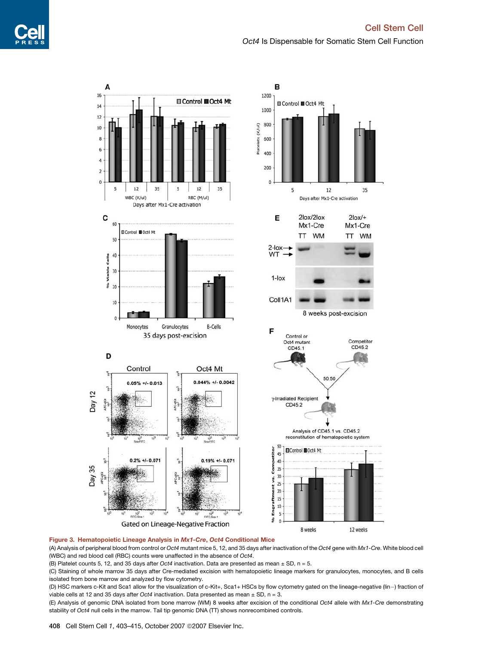

<span id="page-5-0"></span>

#### Figure 3. Hematopoietic Lineage Analysis in Mx1-Cre, Oct4 Conditional Mice

(A) Analysis of peripheral blood from control or *Oct4* mutant mice 5, 12, and 35 days after inactivation of the *Oct4* gene with *Mx1-Cre*. White blood cell (WBC) and red blood cell (RBC) counts were unaffected in the absence of *Oct4*.

(B) Platelet counts 5, 12, and 35 days after *Oct4* inactivation. Data are presented as mean ± SD, n = 5.

(C) Staining of whole marrow 35 days after Cre-mediated excision with hematopoietic lineage markers for granulocytes, monocytes, and B cells isolated from bone marrow and analyzed by flow cytometry.

(D) HSC markers c-Kit and Sca1 allow for the visualization of c-Kit+, Sca1+ HSCs by flow cytometry gated on the lineage-negative (lin-) fraction of viable cells at 12 and 35 days after *Oct4* inactivation. Data presented as mean ± SD, n = 3.

(E) Analysis of genomic DNA isolated from bone marrow (WM) 8 weeks after excision of the conditional *Oct4* allele with *Mx1-Cre* demonstrating stability of *Oct4* null cells in the marrow. Tail tip genomic DNA (TT) shows nonrecombined controls.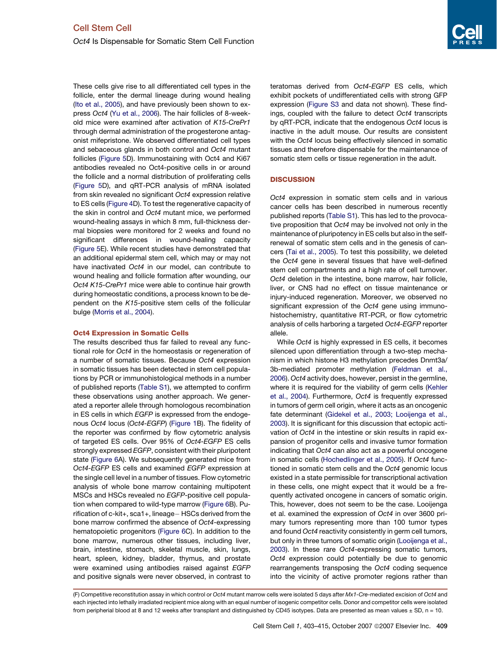These cells give rise to all differentiated cell types in the follicle, enter the dermal lineage during wound healing [\(Ito et al., 2005](#page-11-0)), and have previously been shown to express *Oct4* ([Yu et al., 2006](#page-12-0)). The hair follicles of 8-weekold mice were examined after activation of *K15-CrePr1* through dermal administration of the progesterone antagonist mifepristone. We observed differentiated cell types and sebaceous glands in both control and *Oct4* mutant follicles [\(Figure 5D](#page-8-0)). Immunostaining with Oct4 and Ki67 antibodies revealed no Oct4-positive cells in or around the follicle and a normal distribution of proliferating cells [\(Figure 5D](#page-8-0)), and qRT-PCR analysis of mRNA isolated from skin revealed no significant *Oct4* expression relative to ES cells [\(Figure 4D](#page-7-0)). To test the regenerative capacity of the skin in control and *Oct4* mutant mice, we performed wound-healing assays in which 8 mm, full-thickness dermal biopsies were monitored for 2 weeks and found no significant differences in wound-healing capacity [\(Figure 5E](#page-8-0)). While recent studies have demonstrated that an additional epidermal stem cell, which may or may not have inactivated *Oct4* in our model, can contribute to wound healing and follicle formation after wounding, our *Oct4 K15-CrePr1* mice were able to continue hair growth during homeostatic conditions, a process known to be dependent on the *K15*-positive stem cells of the follicular bulge ([Morris et al., 2004\)](#page-12-0).

## Oct4 Expression in Somatic Cells

The results described thus far failed to reveal any functional role for *Oct4* in the homeostasis or regeneration of a number of somatic tissues. Because *Oct4* expression in somatic tissues has been detected in stem cell populations by PCR or immunohistological methods in a number of published reports ([Table S1](#page-10-0)), we attempted to confirm these observations using another approach. We generated a reporter allele through homologous recombination in ES cells in which *EGFP* is expressed from the endogenous *Oct4* locus (*Oct4-EGFP*) ([Figure 1B](#page-1-0)). The fidelity of the reporter was confirmed by flow cytometric analysis of targeted ES cells. Over 95% of *Oct4-EGFP* ES cells strongly expressed *EGFP*, consistent with their pluripotent state ([Figure 6A](#page-9-0)). We subsequently generated mice from *Oct4-EGFP* ES cells and examined *EGFP* expression at the single cell level in a number of tissues. Flow cytometric analysis of whole bone marrow containing multipotent MSCs and HSCs revealed no *EGFP*-positive cell population when compared to wild-type marrow ([Figure 6](#page-9-0)B). Purification of c-kit+, sca1+, lineage- HSCs derived from the bone marrow confirmed the absence of *Oct4*-expressing hematopoietic progenitors [\(Figure 6](#page-9-0)C). In addition to the bone marrow, numerous other tissues, including liver, brain, intestine, stomach, skeletal muscle, skin, lungs, heart, spleen, kidney, bladder, thymus, and prostate were examined using antibodies raised against *EGFP* and positive signals were never observed, in contrast to teratomas derived from *Oct4-EGFP* ES cells, which exhibit pockets of undifferentiated cells with strong GFP expression ([Figure S3](#page-10-0) and data not shown). These findings, coupled with the failure to detect *Oct4* transcripts by qRT-PCR, indicate that the endogenous *Oct4* locus is inactive in the adult mouse. Our results are consistent with the *Oct4* locus being effectively silenced in somatic tissues and therefore dispensable for the maintenance of somatic stem cells or tissue regeneration in the adult.

## **DISCUSSION**

*Oct4* expression in somatic stem cells and in various cancer cells has been described in numerous recently published reports [\(Table S1\)](#page-10-0). This has led to the provocative proposition that *Oct4* may be involved not only in the maintenance of pluripotency in ES cells but also in the selfrenewal of somatic stem cells and in the genesis of cancers [\(Tai et al., 2005\)](#page-12-0). To test this possibility, we deleted the *Oct4* gene in several tissues that have well-defined stem cell compartments and a high rate of cell turnover. *Oct4* deletion in the intestine, bone marrow, hair follicle, liver, or CNS had no effect on tissue maintenance or injury-induced regeneration. Moreover, we observed no significant expression of the *Oct4* gene using immunohistochemistry, quantitative RT-PCR, or flow cytometric analysis of cells harboring a targeted *Oct4-EGFP* reporter allele.

While *Oct4* is highly expressed in ES cells, it becomes silenced upon differentiation through a two-step mechanism in which histone H3 methylation precedes Dnmt3a/ 3b-mediated promoter methylation [\(Feldman et al.,](#page-11-0) [2006\)](#page-11-0). *Oct4* activity does, however, persist in the germline, where it is required for the viability of germ cells [\(Kehler](#page-11-0) [et al., 2004\)](#page-11-0). Furthermore, *Oct4* is frequently expressed in tumors of germ cell origin, where it acts as an oncogenic fate determinant [\(Gidekel et al., 2003; Looijenga et al.,](#page-11-0) [2003\)](#page-11-0). It is significant for this discussion that ectopic activation of *Oct4* in the intestine or skin results in rapid expansion of progenitor cells and invasive tumor formation indicating that *Oct4* can also act as a powerful oncogene in somatic cells [\(Hochedlinger et al., 2005\)](#page-11-0). If *Oct4* functioned in somatic stem cells and the *Oct4* genomic locus existed in a state permissible for transcriptional activation in these cells, one might expect that it would be a frequently activated oncogene in cancers of somatic origin. This, however, does not seem to be the case. Looijenga et al. examined the expression of *Oct4* in over 3600 primary tumors representing more than 100 tumor types and found *Oct4* reactivity consistently in germ cell tumors, but only in three tumors of somatic origin [\(Looijenga et al.,](#page-12-0) [2003\)](#page-12-0). In these rare *Oct4*-expressing somatic tumors, *Oct4* expression could potentially be due to genomic rearrangements transposing the *Oct4* coding sequence into the vicinity of active promoter regions rather than

<sup>(</sup>F) Competitive reconstitution assay in which control or *Oct4* mutant marrow cells were isolated 5 days after *Mx1-Cre*-mediated excision of *Oct4* and each injected into lethally irradiated recipient mice along with an equal number of isogenic competitor cells. Donor and competitor cells were isolated from peripherial blood at 8 and 12 weeks after transplant and distinguished by CD45 isotypes. Data are presented as mean values ± SD, n = 10.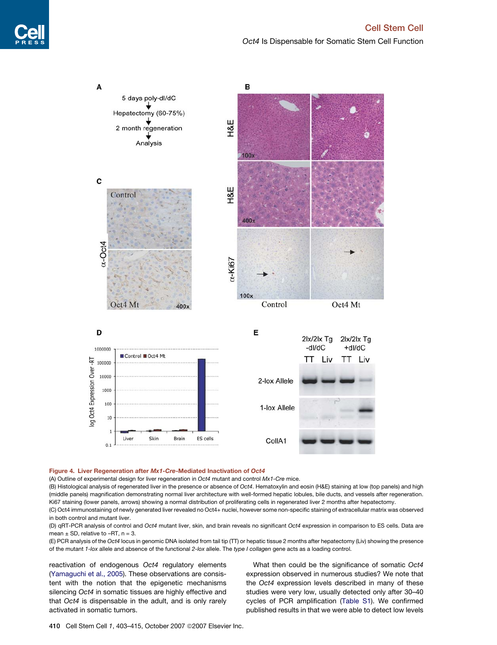5 days poly-dl/dC Hepatectomy (60-75%) 2 month regeneration

Analysis

<span id="page-7-0"></span>A







#### Figure 4. Liver Regeneration after Mx1-Cre-Mediated Inactivation of Oct4

(A) Outline of experimental design for liver regeneration in *Oct4* mutant and control *Mx1-Cre* mice.

(B) Histological analysis of regenerated liver in the presence or absence of *Oct4*. Hematoxylin and eosin (H&E) staining at low (top panels) and high (middle panels) magnification demonstrating normal liver architecture with well-formed hepatic lobules, bile ducts, and vessels after regeneration. Ki67 staining (lower panels, arrows) showing a normal distribution of proliferating cells in regenerated liver 2 months after hepatectomy.

(C) Oct4 immunostaining of newly generated liver revealed no Oct4+ nuclei, however some non-specific staining of extracellular matrix was observed in both control and mutant liver.

(D) qRT-PCR analysis of control and *Oct4* mutant liver, skin, and brain reveals no significant *Oct4* expression in comparison to ES cells. Data are mean  $\pm$  SD, relative to -RT, n = 3.

(E) PCR analysis of the *Oct4* locus in genomic DNA isolated from tail tip (TT) or hepatic tissue 2 months after hepatectomy (Liv) showing the presence of the mutant *1-lox* allele and absence of the functional *2-lox* allele. The *type I collagen* gene acts as a loading control.

reactivation of endogenous *Oct4* regulatory elements ([Yamaguchi et al., 2005](#page-12-0)). These observations are consistent with the notion that the epigenetic mechanisms silencing *Oct4* in somatic tissues are highly effective and that *Oct4* is dispensable in the adult, and is only rarely activated in somatic tumors.

What then could be the significance of somatic *Oct4* expression observed in numerous studies? We note that the *Oct4* expression levels described in many of these studies were very low, usually detected only after 30–40 cycles of PCR amplification [\(Table S1](#page-10-0)). We confirmed published results in that we were able to detect low levels

410 Cell Stem Cell 1, 403-415, October 2007 © 2007 Elsevier Inc.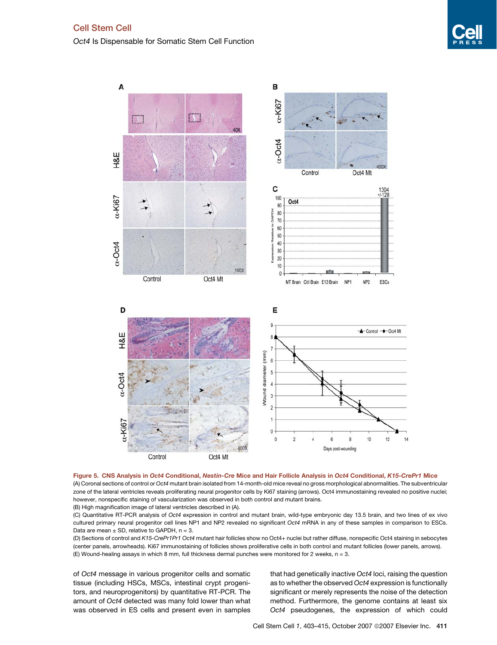<span id="page-8-0"></span>*Oct4* Is Dispensable for Somatic Stem Cell Function





(C) Quantitative RT-PCR analysis of *Oct4* expression in control and mutant brain, wild-type embryonic day 13.5 brain, and two lines of ex vivo cultured primary neural progenitor cell lines NP1 and NP2 revealed no significant *Oct4* mRNA in any of these samples in comparison to ESCs. Data are mean  $\pm$  SD, relative to GAPDH,  $n = 3$ .

(D) Sections of control and *K15-CrePr1Pr1 Oct4* mutant hair follicles show no Oct4+ nuclei but rather diffuse, nonspecific Oct4 staining in sebocytes (center panels, arrowheads). Ki67 immunostaining of follicles shows proliferative cells in both control and mutant follicles (lower panels, arrows). (E) Wound-healing assays in which 8 mm, full thickness dermal punches were monitored for 2 weeks, n = 3.

of *Oct4* message in various progenitor cells and somatic tissue (including HSCs, MSCs, intestinal crypt progenitors, and neuroprogenitors) by quantitative RT-PCR. The amount of *Oct4* detected was many fold lower than what was observed in ES cells and present even in samples that had genetically inactive *Oct4* loci, raising the question as to whether the observed *Oct4* expression is functionally significant or merely represents the noise of the detection method. Furthermore, the genome contains at least six *Oct4* pseudogenes, the expression of which could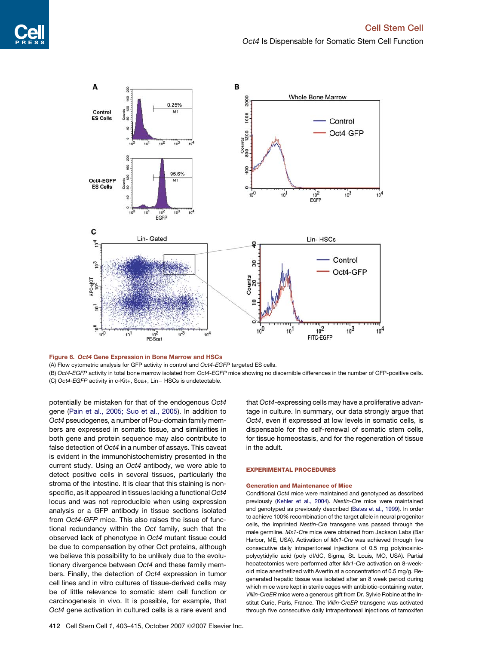<span id="page-9-0"></span>

Figure 6. Oct4 Gene Expression in Bone Marrow and HSCs

(A) Flow cytometric analysis for GFP activity in control and *Oct4-EGFP* targeted ES cells.

(B) *Oct4-EGFP* activity in total bone marrow isolated from *Oct4-EGFP* mice showing no discernible differences in the number of GFP-positive cells. (C) *Oct4-EGFP* activity in c-Kit+, Sca+, Lin- HSCs is undetectable.

potentially be mistaken for that of the endogenous *Oct4* gene [\(Pain et al., 2005; Suo et al., 2005](#page-12-0)). In addition to *Oct4* pseudogenes, a number of Pou-domain family members are expressed in somatic tissue, and similarities in both gene and protein sequence may also contribute to false detection of *Oct4* in a number of assays. This caveat is evident in the immunohistochemistry presented in the current study. Using an *Oct4* antibody, we were able to detect positive cells in several tissues, particularly the stroma of the intestine. It is clear that this staining is nonspecific, as it appeared in tissues lacking a functional *Oct4* locus and was not reproducible when using expression analysis or a GFP antibody in tissue sections isolated from *Oct4-GFP* mice. This also raises the issue of functional redundancy within the *Oct* family, such that the observed lack of phenotype in *Oct4* mutant tissue could be due to compensation by other Oct proteins, although we believe this possibility to be unlikely due to the evolutionary divergence between *Oct4* and these family members. Finally, the detection of *Oct4* expression in tumor cell lines and in vitro cultures of tissue-derived cells may be of little relevance to somatic stem cell function or carcinogenesis in vivo. It is possible, for example, that *Oct4* gene activation in cultured cells is a rare event and

that *Oct4*-expressing cells may have a proliferative advantage in culture. In summary, our data strongly argue that *Oct4*, even if expressed at low levels in somatic cells, is dispensable for the self-renewal of somatic stem cells, for tissue homeostasis, and for the regeneration of tissue in the adult.

#### EXPERIMENTAL PROCEDURES

#### Generation and Maintenance of Mice

Conditional *Oct4* mice were maintained and genotyped as described previously ([Kehler et al., 2004](#page-11-0)). *Nestin-Cre* mice were maintained and genotyped as previously described ([Bates et al., 1999](#page-11-0)). In order to achieve 100% recombination of the target allele in neural progenitor cells, the imprinted *Nestin-Cre* transgene was passed through the male germline. *Mx1-Cre* mice were obtained from Jackson Labs (Bar Harbor, ME, USA). Activation of *Mx1-Cre* was achieved through five consecutive daily intraperitoneal injections of 0.5 mg polyinosinicpolycytidylic acid (poly dI/dC, Sigma, St. Louis, MO, USA). Partial hepatectomies were performed after *Mx1-Cre* activation on 8-weekold mice anesthetized with Avertin at a concentration of 0.5 mg/g. Regenerated hepatic tissue was isolated after an 8 week period during which mice were kept in sterile cages with antibiotic-containing water. *Villin-CreER* mice were a generous gift from Dr. Sylvie Robine at the Institut Curie, Paris, France. The *Villin-CreER* transgene was activated through five consecutive daily intraperitoneal injections of tamoxifen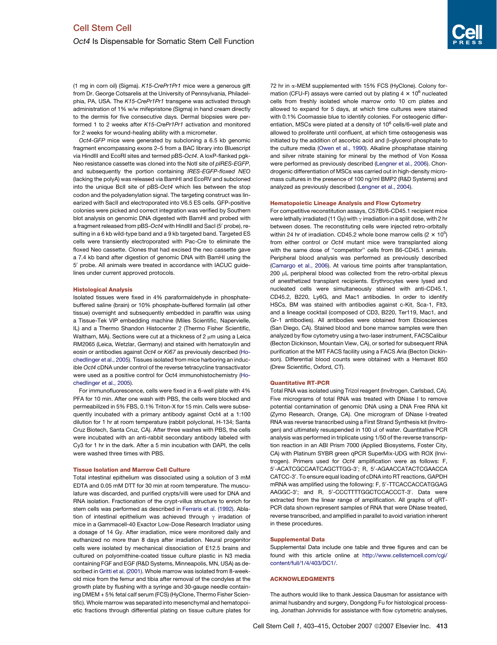<span id="page-10-0"></span>(1 mg in corn oil) (Sigma). *K15-CrePr1Pr1* mice were a generous gift from Dr. George Cotsarelis at the University of Pennsylvania, Philadelphia, PA, USA. The *K15-CrePr1Pr1* transgene was activated through administration of 1% w/w mifepristone (Sigma) in hand cream directly to the dermis for five consecutive days. Dermal biopsies were performed 1 to 2 weeks after *K15-CrePr1Pr1* activation and monitored for 2 weeks for wound-healing ability with a micrometer.

*Oct4-GFP* mice were generated by subcloning a 6.5 kb genomic fragment encompassing exons 2–5 from a BAC library into Bluescript via HindIII and EcoRI sites and termed pBS-*Oct4*. A loxP-flanked pgk-Neo resistance cassette was cloned into the NotI site of *pIRES-EGFP*, and subsequently the portion containing *IRES-EGFP-floxed NEO* (lacking the polyA) was released via BamHI and EcoRV and subcloned into the unique BclI site of pBS-*Oct4* which lies between the stop codon and the polyadenylation signal. The targeting construct was linearized with SacII and electroporated into V6.5 ES cells. GFP-positive colonies were picked and correct integration was verified by Southern blot analysis on genomic DNA digested with BamHI and probed with a fragment released from pBS-Oct4 with HindIII and SacI (5' probe), resulting in a 6 kb wild-type band and a 9 kb targeted band. Targeted ES cells were transiently electroporated with Pac-Cre to eliminate the floxed Neo cassette. Clones that had excised the neo cassette gave a 7.4 kb band after digestion of genomic DNA with BamHI using the 5' probe. All animals were treated in accordance with IACUC guidelines under current approved protocols.

#### Histological Analysis

Isolated tissues were fixed in 4% paraformaldehyde in phosphatebuffered saline (brain) or 10% phosphate-buffered formalin (all other tissue) overnight and subsequently embedded in paraffin wax using a Tissue-Tek VIP embedding machine (Miles Scientific, Napervielle, IL) and a Thermo Shandon Histocenter 2 (Thermo Fisher Scientific, Waltham, MA). Sections were cut at a thickness of 2 um using a Leica RM2065 (Leica, Wetzlar, Germany) and stained with hematoxylin and eosin or antibodies against *Oct4* or *Ki67* as previously described [\(Ho](#page-11-0)[chedlinger et al., 2005](#page-11-0)). Tissues isolated from mice harboring an inducible *Oct4* cDNA under control of the reverse tetracycline transactivator were used as a positive control for Oct4 immunohistochemistry [\(Ho](#page-11-0)[chedlinger et al., 2005](#page-11-0)).

For immunofluorescence, cells were fixed in a 6-well plate with 4% PFA for 10 min. After one wash with PBS, the cells were blocked and permeabilized in 5% FBS, 0.1% Triton-X for 15 min. Cells were subsequently incubated with a primary antibody against Oct4 at a 1:100 dilution for 1 hr at room temperature (rabbit polyclonal, H-134; Santa Cruz Biotech, Santa Cruz, CA). After three washes with PBS, the cells were incubated with an anti-rabbit secondary antibody labeled with Cy3 for 1 hr in the dark. After a 5 min incubation with DAPI, the cells were washed three times with PBS.

#### Tissue Isolation and Marrow Cell Culture

Total intestinal epithelium was dissociated using a solution of 3 mM EDTA and 0.05 mM DTT for 30 min at room temperature. The musculature was discarded, and purified crypts/villi were used for DNA and RNA isolation. Fractionation of the crypt-villus structure to enrich for stem cells was performed as described in [Ferraris et al. \(1992\).](#page-11-0) Ablation of intestinal epithelium was achieved through  $\gamma$  irradation of mice in a Gammacell-40 Exactor Low-Dose Research Irradiator using a dosage of 14 Gy. After irradiation, mice were monitored daily and euthanized no more than 8 days after irradiation. Neural progenitor cells were isolated by mechanical dissociation of E12.5 brains and cultured on polyornithine-coated tissue culture plastic in N3 media containing FGF and EGF (R&D Systems, Minneapolis, MN, USA) as described in [Gritti et al. \(2001\).](#page-11-0) Whole marrow was isolated from 8-weekold mice from the femur and tibia after removal of the condyles at the growth plate by flushing with a syringe and 30-gauge needle containing DMEM + 5% fetal calf serum (FCS) (HyClone, Thermo Fisher Scientific). Whole marrow was separated into mesenchymal and hematopoietic fractions through differential plating on tissue culture plates for

72 hr in a-MEM supplemented with 15% FCS (HyClone). Colony formation (CFU-F) assays were carried out by plating  $4 \times 10^6$  nucleated cells from freshly isolated whole marrow onto 10 cm plates and allowed to expand for 5 days, at which time cultures were stained with 0.1% Coomassie blue to identify colonies. For osteogenic differentiation, MSCs were plated at a density of 10<sup>6</sup> cells/6-well plate and allowed to proliferate until confluent, at which time osteogenesis was initiated by the addition of ascorbic acid and  $\beta$ -glycerol phosphate to the culture media [\(Owen et al., 1990](#page-12-0)). Alkaline phosphatase staining and silver nitrate staining for mineral by the method of Von Kossa were performed as previously described ([Lengner et al., 2006](#page-11-0)). Chondrogenic differentiation of MSCs was carried out in high-density micromass cultures in the presence of 100 ng/ml BMP2 (R&D Systems) and analyzed as previously described [\(Lengner et al., 2004](#page-11-0)).

#### Hematopoietic Lineage Analysis and Flow Cytometry

For competitive reconstitution assays, C57Bl/6-CD45.1 recipient mice were lethally irradiated (11 Gy) with  $\gamma$  irradiation in a split dose, with 2 hr between doses. The reconstituting cells were injected retro-orbitally within 24 hr of irradiation. CD45.2 whole bone marrow cells (2  $\times$  10<sup>5</sup>) from either control or *Oct4* mutant mice were transplanted along with the same dose of ''competitor'' cells from B6-CD45.1 animals. Peripheral blood analysis was performed as previously described ([Camargo et al., 2006\)](#page-11-0). At various time points after transplantation, 200 uL peripheral blood was collected from the retro-orbital plexus of anesthetized transplant recipients. Erythrocytes were lysed and nucleated cells were simultaneously stained with anti-CD45.1, CD45.2, B220, Ly6G, and Mac1 antibodies. In order to identify HSCs, BM was stained with antibodies against c-Kit, Sca-1, Flt3, and a lineage cocktail (composed of CD3, B220, Ter119, Mac1, and Gr-1 antibodies). All antibodies were obtained from Ebiosciences (San Diego, CA). Stained blood and bone marrow samples were then analyzed by flow cytometry using a two-laser instrument, FACSCalibur (Becton Dickinson, Mountain View, CA), or sorted for subsequent RNA purification at the MIT FACS facility using a FACS Aria (Becton Dickinson). Differential blood counts were obtained with a Hemavet 850 (Drew Scientific, Oxford, CT).

#### Quantitative RT-PCR

Total RNA was isolated using Trizol reagent (Invitrogen, Carlsbad, CA). Five micrograms of total RNA was treated with DNase I to remove potential contamination of genomic DNA using a DNA Free RNA kit (Zymo Research, Orange, CA). One microgram of DNase I-treated RNA was reverse transcribed using a First Strand Synthesis kit (Invitrogen) and ultimately resuspended in 100 ul of water. Quantitative PCR analysis was performed in triplicate using 1/50 of the reverse transcription reaction in an ABI Prism 7000 (Applied Biosystems, Foster City, CA) with Platinum SYBR green qPCR SuperMix-UDG with ROX (Invitrogen). Primers used for *Oct4* amplification were as follows: F, 5'-ACATCGCCAATCAGCTTGG-3'; R, 5'-AGAACCATACTCGAACCA CATCC-3'. To ensure equal loading of cDNA into RT reactions, GAPDH mRNA was amplified using the following: F, 5'-TTCACCACCATGGAG AAGGC-3'; and R, 5'-CCCTTTTGGCTCCACCCT-3'. Data were extracted from the linear range of amplification. All graphs of qRT-PCR data shown represent samples of RNA that were DNase treated, reverse transcribed, and amplified in parallel to avoid variation inherent in these procedures.

#### Supplemental Data

Supplemental Data include one table and three figures and can be found with this article online at [http://www.cellstemcell.com/cgi/](http://www.cellstemcell.com/cgi/content/full/1/4/403/DC1/) [content/full/1/4/403/DC1/.](http://www.cellstemcell.com/cgi/content/full/1/4/403/DC1/)

#### ACKNOWLEDGMENTS

The authors would like to thank Jessica Dausman for assistance with animal husbandry and surgery, Dongdong Fu for histological processing, Jonathan Johnnidis for assistance with flow cytometric analyses,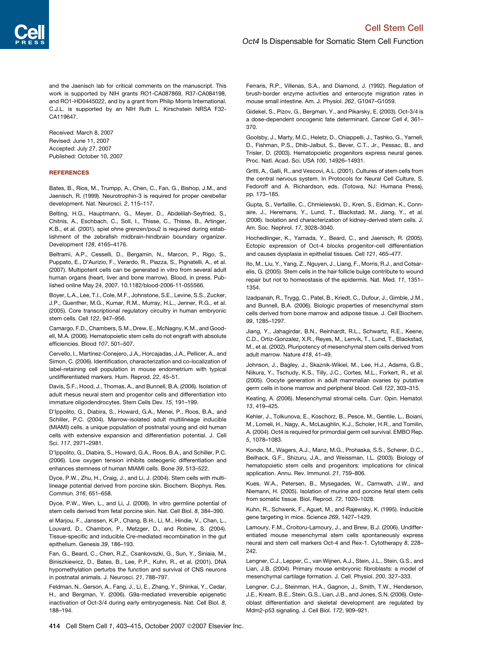<span id="page-11-0"></span>and the Jaenisch lab for critical comments on the manuscript. This work is supported by NIH grants RO1-CA087869, R37-CA084198, and RO1-HD0445022, and by a grant from Philip Morris International. C.J.L. is supported by an NIH Ruth L. Kirschstein NRSA F32- CA119647.

Received: March 8, 2007 Revised: June 11, 2007 Accepted: July 27, 2007 Published: October 10, 2007

#### **REFERENCES**

Bates, B., Rios, M., Trumpp, A., Chen, C., Fan, G., Bishop, J.M., and Jaenisch, R. (1999). Neurotrophin-3 is required for proper cerebellar development. Nat. Neurosci. *2*, 115–117.

Belting, H.G., Hauptmann, G., Meyer, D., Abdelilah-Seyfried, S., Chitnis, A., Eschbach, C., Soll, I., Thisse, C., Thisse, B., Artinger, K.B., et al. (2001). spiel ohne grenzen/pou2 is required during establishment of the zebrafish midbrain-hindbrain boundary organizer. Development *128*, 4165–4176.

Beltrami, A.P., Cesselli, D., Bergamin, N., Marcon, P., Rigo, S., Puppato, E., D'Aurizio, F., Verardo, R., Piazza, S., Pignatelli, A., et al. (2007). Multipotent cells can be generated in vitro from several adult human organs (heart, liver and bone marrow). Blood, in press. Published online May 24, 2007. 10.1182/blood-2006-11-055566.

Boyer, L.A., Lee, T.I., Cole, M.F., Johnstone, S.E., Levine, S.S., Zucker, J.P., Guenther, M.G., Kumar, R.M., Murray, H.L., Jenner, R.G., et al. (2005). Core transcriptional regulatory circuitry in human embryonic stem cells. Cell *122*, 947–956.

Camargo, F.D., Chambers, S.M., Drew, E., McNagny, K.M., and Goodell, M.A. (2006). Hematopoietic stem cells do not engraft with absolute efficiencies. Blood *107*, 501–507.

Cervello, I., Martinez-Conejero, J.A., Horcajadas, J.A., Pellicer, A., and Simon, C. (2006). Identification, characterization and co-localization of label-retaining cell population in mouse endometrium with typical undifferentiated markers. Hum. Reprod. *22*, 45–51.

Davis, S.F., Hood, J., Thomas, A., and Bunnell, B.A. (2006). Isolation of adult rhesus neural stem and progenitor cells and differentiation into immature oligodendrocytes. Stem Cells Dev. *15*, 191–199.

D'Ippolito, G., Diabira, S., Howard, G.A., Menei, P., Roos, B.A., and Schiller, P.C. (2004). Marrow-isolated adult multilineage inducible (MIAMI) cells, a unique population of postnatal young and old human cells with extensive expansion and differentiation potential. J. Cell Sci. *117*, 2971–2981.

D'Ippolito, G., Diabira, S., Howard, G.A., Roos, B.A., and Schiller, P.C. (2006). Low oxygen tension inhibits osteogenic differentiation and enhances stemness of human MIAMI cells. Bone *39*, 513–522.

Dyce, P.W., Zhu, H., Craig, J., and Li, J. (2004). Stem cells with multilineage potential derived from porcine skin. Biochem. Biophys. Res. Commun. *316*, 651–658.

Dyce, P.W., Wen, L., and Li, J. (2006). In vitro germline potential of stem cells derived from fetal porcine skin. Nat. Cell Biol. *8*, 384–390.

el Marjou, F., Janssen, K.P., Chang, B.H., Li, M., Hindie, V., Chan, L., Louvard, D., Chambon, P., Metzger, D., and Robine, S. (2004). Tissue-specific and inducible Cre-mediated recombination in the gut epithelium. Genesis *39*, 186–193.

Fan, G., Beard, C., Chen, R.Z., Csankovszki, G., Sun, Y., Siniaia, M., Biniszkiewicz, D., Bates, B., Lee, P.P., Kuhn, R., et al. (2001). DNA hypomethylation perturbs the function and survival of CNS neurons in postnatal animals. J. Neurosci. *21*, 788–797.

Feldman, N., Gerson, A., Fang, J., Li, E., Zhang, Y., Shinkai, Y., Cedar, H., and Bergman, Y. (2006). G9a-mediated irreversible epigenetic inactivation of Oct-3/4 during early embryogenesis. Nat. Cell Biol. *8*, 188–194.

Ferraris, R.P., Villenas, S.A., and Diamond, J. (1992). Regulation of brush-border enzyme activities and enterocyte migration rates in mouse small intestine. Am. J. Physiol. *262*, G1047–G1059.

Gidekel, S., Pizov, G., Bergman, Y., and Pikarsky, E. (2003). Oct-3/4 is a dose-dependent oncogenic fate determinant. Cancer Cell *4*, 361– 370.

Goolsby, J., Marty, M.C., Heletz, D., Chiappelli, J., Tashko, G., Yarnell, D., Fishman, P.S., Dhib-Jalbut, S., Bever, C.T., Jr., Pessac, B., and Trisler, D. (2003). Hematopoietic progenitors express neural genes. Proc. Natl. Acad. Sci. USA *100*, 14926–14931.

Gritti, A., Galli, R., and Vescovi, A.L. (2001). Cultures of stem cells from the central nervous system. In Protocols for Neural Cell Culture, S. Fedoroff and A. Richardson, eds. (Totowa, NJ: Humana Press), pp. 173–185.

Gupta, S., Verfaillie, C., Chmielewski, D., Kren, S., Eidman, K., Connaire, J., Heremans, Y., Lund, T., Blackstad, M., Jiang, Y., et al. (2006). Isolation and characterization of kidney-derived stem cells. J. Am. Soc. Nephrol. *17*, 3028–3040.

Hochedlinger, K., Yamada, Y., Beard, C., and Jaenisch, R. (2005). Ectopic expression of Oct-4 blocks progenitor-cell differentiation and causes dysplasia in epithelial tissues. Cell *121*, 465–477.

Ito, M., Liu, Y., Yang, Z., Nguyen, J., Liang, F., Morris, R.J., and Cotsarelis, G. (2005). Stem cells in the hair follicle bulge contribute to wound repair but not to homeostasis of the epidermis. Nat. Med. *11*, 1351– 1354.

Izadpanah, R., Trygg, C., Patel, B., Kriedt, C., Dufour, J., Gimble, J.M., and Bunnell, B.A. (2006). Biologic properties of mesenchymal stem cells derived from bone marrow and adipose tissue. J. Cell Biochem. *99*, 1285–1297.

Jiang, Y., Jahagirdar, B.N., Reinhardt, R.L., Schwartz, R.E., Keene, C.D., Ortiz-Gonzalez, X.R., Reyes, M., Lenvik, T., Lund, T., Blackstad, M., et al. (2002). Pluripotency of mesenchymal stem cells derived from adult marrow. Nature *418*, 41–49.

Johnson, J., Bagley, J., Skaznik-Wikiel, M., Lee, H.J., Adams, G.B., Niikura, Y., Tschudy, K.S., Tilly, J.C., Cortes, M.L., Forkert, R., et al. (2005). Oocyte generation in adult mammalian ovaries by putative germ cells in bone marrow and peripheral blood. Cell *122*, 303–315.

Keating, A. (2006). Mesenchymal stromal cells. Curr. Opin. Hematol. *13*, 419–425.

Kehler, J., Tolkunova, E., Koschorz, B., Pesce, M., Gentile, L., Boiani, M., Lomeli, H., Nagy, A., McLaughlin, K.J., Scholer, H.R., and Tomilin, A. (2004). Oct4 is required for primordial germ cell survival. EMBO Rep. *5*, 1078–1083.

Kondo, M., Wagers, A.J., Manz, M.G., Prohaska, S.S., Scherer, D.C., Beilhack, G.F., Shizuru, J.A., and Weissman, I.L. (2003). Biology of hematopoietic stem cells and progenitors: implications for clinical application. Annu. Rev. Immunol. *21*, 759–806.

Kues, W.A., Petersen, B., Mysegades, W., Carnwath, J.W., and Niemann, H. (2005). Isolation of murine and porcine fetal stem cells from somatic tissue. Biol. Reprod. *72*, 1020–1028.

Kuhn, R., Schwenk, F., Aguet, M., and Rajewsky, K. (1995). Inducible gene targeting in mice. Science *269*, 1427–1429.

Lamoury, F.M., Croitoru-Lamoury, J., and Brew, B.J. (2006). Undifferentiated mouse mesenchymal stem cells spontaneously express neural and stem cell markers Oct-4 and Rex-1. Cytotherapy *8*, 228– 242.

Lengner, C.J., Lepper, C., van Wijnen, A.J., Stein, J.L., Stein, G.S., and Lian, J.B. (2004). Primary mouse embryonic fibroblasts: a model of mesenchymal cartilage formation. J. Cell. Physiol. *200*, 327–333.

Lengner, C.J., Steinman, H.A., Gagnon, J., Smith, T.W., Henderson, J.E., Kream, B.E., Stein, G.S., Lian, J.B., and Jones, S.N. (2006). Osteoblast differentiation and skeletal development are regulated by Mdm2-p53 signaling. J. Cell Biol. *172*, 909–921.

414 Cell Stem Cell 1, 403-415, October 2007 © 2007 Elsevier Inc.